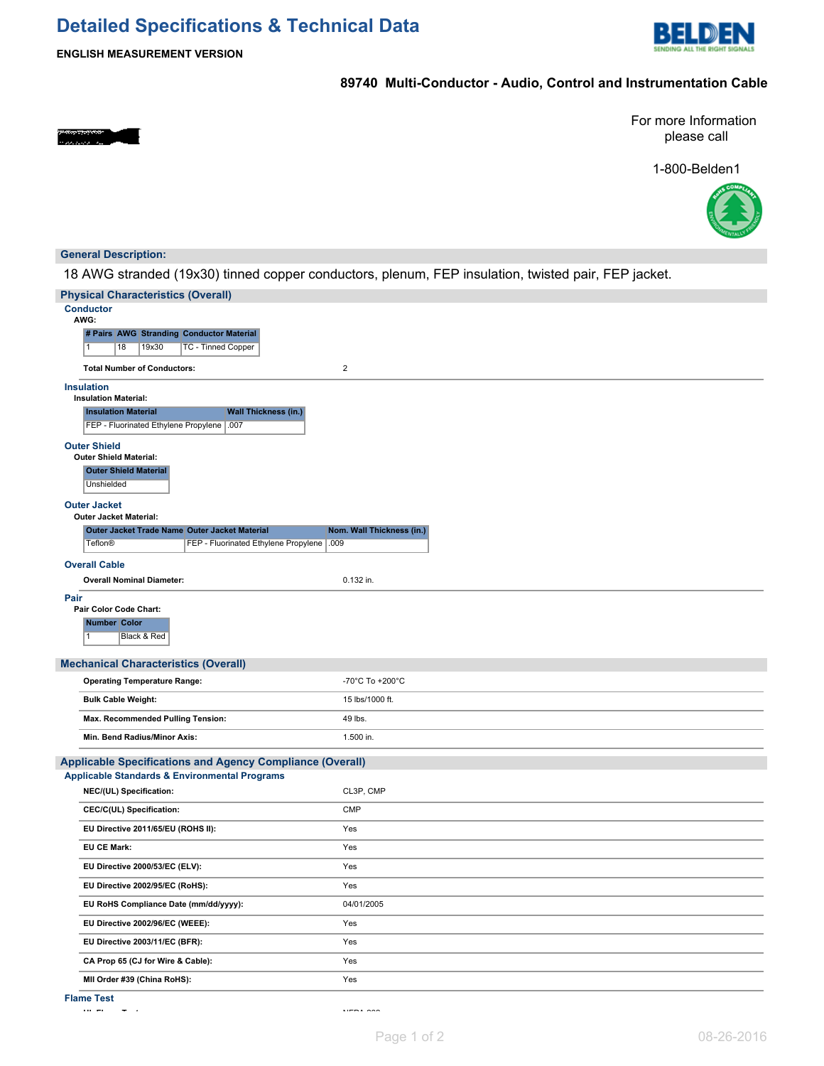# **Detailed Specifications & Technical Data**



**ENGLISH MEASUREMENT VERSION**

# **89740 Multi-Conductor - Audio, Control and Instrumentation Cable**

For more Information please call

1-800-Belden1



## **General Description:**

18 AWG stranded (19x30) tinned copper conductors, plenum, FEP insulation, twisted pair, FEP jacket.

| <b>Physical Characteristics (Overall)</b>                                                                |                           |
|----------------------------------------------------------------------------------------------------------|---------------------------|
| <b>Conductor</b><br>AWG:                                                                                 |                           |
| # Pairs AWG Stranding Conductor Material                                                                 |                           |
| 18<br>19x30<br><b>TC - Tinned Copper</b><br>1                                                            |                           |
| <b>Total Number of Conductors:</b>                                                                       | $\mathbf 2$               |
| <b>Insulation</b>                                                                                        |                           |
| <b>Insulation Material:</b>                                                                              |                           |
| <b>Insulation Material</b><br><b>Wall Thickness (in.)</b><br>FEP - Fluorinated Ethylene Propylene   .007 |                           |
|                                                                                                          |                           |
| <b>Outer Shield</b><br><b>Outer Shield Material:</b>                                                     |                           |
| <b>Outer Shield Material</b>                                                                             |                           |
| Unshielded                                                                                               |                           |
| <b>Outer Jacket</b><br><b>Outer Jacket Material:</b>                                                     |                           |
| Outer Jacket Trade Name Outer Jacket Material                                                            | Nom. Wall Thickness (in.) |
| <b>Teflon®</b><br>FEP - Fluorinated Ethylene Propylene   .009                                            |                           |
| <b>Overall Cable</b>                                                                                     |                           |
| <b>Overall Nominal Diameter:</b>                                                                         | 0.132 in.                 |
| Pair                                                                                                     |                           |
| Pair Color Code Chart:                                                                                   |                           |
| <b>Number Color</b>                                                                                      |                           |
| Black & Red<br>1                                                                                         |                           |
| <b>Mechanical Characteristics (Overall)</b>                                                              |                           |
| <b>Operating Temperature Range:</b>                                                                      | -70°C To +200°C           |
| <b>Bulk Cable Weight:</b>                                                                                | 15 lbs/1000 ft.           |
| Max. Recommended Pulling Tension:                                                                        | 49 lbs.                   |
| Min. Bend Radius/Minor Axis:                                                                             | 1.500 in.                 |
| <b>Applicable Specifications and Agency Compliance (Overall)</b>                                         |                           |
| <b>Applicable Standards &amp; Environmental Programs</b>                                                 |                           |
| NEC/(UL) Specification:                                                                                  | CL3P, CMP                 |
| CEC/C(UL) Specification:                                                                                 | <b>CMP</b>                |
| EU Directive 2011/65/EU (ROHS II):                                                                       | Yes                       |
| <b>EU CE Mark:</b>                                                                                       | Yes                       |
| EU Directive 2000/53/EC (ELV):                                                                           | Yes                       |
| EU Directive 2002/95/EC (RoHS):                                                                          | Yes                       |
| EU RoHS Compliance Date (mm/dd/yyyy):                                                                    | 04/01/2005                |
| EU Directive 2002/96/EC (WEEE):                                                                          | Yes                       |
| EU Directive 2003/11/EC (BFR):                                                                           | Yes                       |
| CA Prop 65 (CJ for Wire & Cable):                                                                        | Yes                       |
| MII Order #39 (China RoHS):                                                                              | Yes                       |